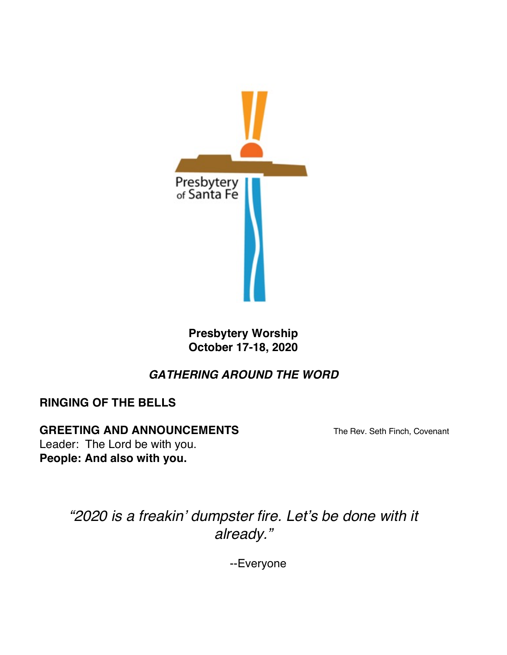

**Presbytery Worship October 17-18, 2020**

# *GATHERING AROUND THE WORD*

**RINGING OF THE BELLS**

#### **GREETING AND ANNOUNCEMENTS** The Rev. Seth Finch, Covenant

Leader: The Lord be with you. **People: And also with you.**

> *"2020 is a freakin' dumpster fire. Let's be done with it already."*

> > --Everyone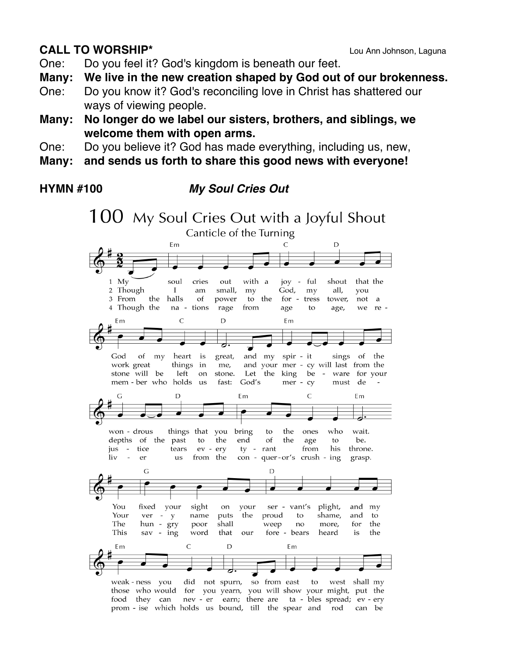## **CALL TO WORSHIP\*** Lou Ann Johnson, Laguna

One: Do you feel it? God's kingdom is beneath our feet.

**Many: We live in the new creation shaped by God out of our brokenness.**

- One: Do you know it? God's reconciling love in Christ has shattered our ways of viewing people.
- **Many: No longer do we label our sisters, brothers, and siblings, we welcome them with open arms.**
- One: Do you believe it? God has made everything, including us, new,
- **Many: and sends us forth to share this good news with everyone!**

## **HYMN #100** *My Soul Cries Out*

100 My Soul Cries Out with a Joyful Shout Canticle of the Turning Em  $\mathsf C$ D  $1$  My soul cries out with a joy - ful shout that the 2 Though small, my God, all,  $\mathbf I$ am  $mv$ you 3 From the halls of power to the for - tress not tower.  $\overline{a}$ 4 Though the na - tions rage from age to age, we re-D  $\mathsf{C}$ Em Em great, God of my heart is and my spir - it sings of the and your mer - cy will last from the work great things in me, stone will be left Let the on stone. king be  $\overline{a}$ ware for your mem - ber who holds God's us fast: mer - cy must de  $\overline{C}$  $\sqrt{ }$ D  $Fm$ F<sub>m</sub> won - drous things that you bring the who wait. to ones depths of the past the end of the be. to age  $t_{\Omega}$ jus - tice tears ev - ery ty - rant from his throne. con - quer-or's crush - ing  $\sim$  $\mathbf{div}$ from the grasp. er **11S**  $\mathsf{G}$ D sight plight, You fixed your on your ser - vant's and  $m<sub>V</sub>$ Your ver name puts the proud to shame, and to  $- y$ The the hun - gry poor shall weep no more, for This sav - ing word that our fore - bears heard is the  $\overline{C}$ D Em Em did not spurn, so from east weak - ness you to west shall my those who would for you yearn, you will show your might, put the food they can nev - er earn; there are ta - bles spread; ev - ery prom - ise which holds us bound, till the spear and rod can be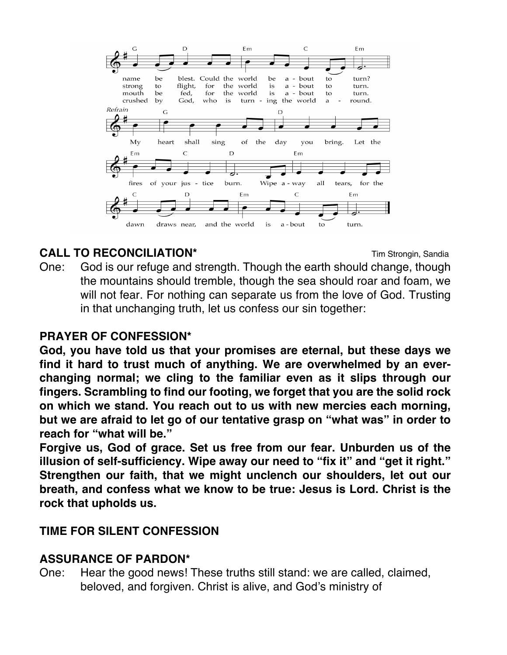

# **CALL TO RECONCILIATION\* CALL TO RECONCILIATION T**

One: God is our refuge and strength. Though the earth should change, though the mountains should tremble, though the sea should roar and foam, we will not fear. For nothing can separate us from the love of God. Trusting in that unchanging truth, let us confess our sin together:

## **PRAYER OF CONFESSION\***

**God, you have told us that your promises are eternal, but these days we find it hard to trust much of anything. We are overwhelmed by an everchanging normal; we cling to the familiar even as it slips through our fingers. Scrambling to find our footing, we forget that you are the solid rock on which we stand. You reach out to us with new mercies each morning, but we are afraid to let go of our tentative grasp on "what was" in order to reach for "what will be."**

**Forgive us, God of grace. Set us free from our fear. Unburden us of the illusion of self-sufficiency. Wipe away our need to "fix it" and "get it right." Strengthen our faith, that we might unclench our shoulders, let out our breath, and confess what we know to be true: Jesus is Lord. Christ is the rock that upholds us.**

## **TIME FOR SILENT CONFESSION**

#### **ASSURANCE OF PARDON\***

One: Hear the good news! These truths still stand: we are called, claimed, beloved, and forgiven. Christ is alive, and God's ministry of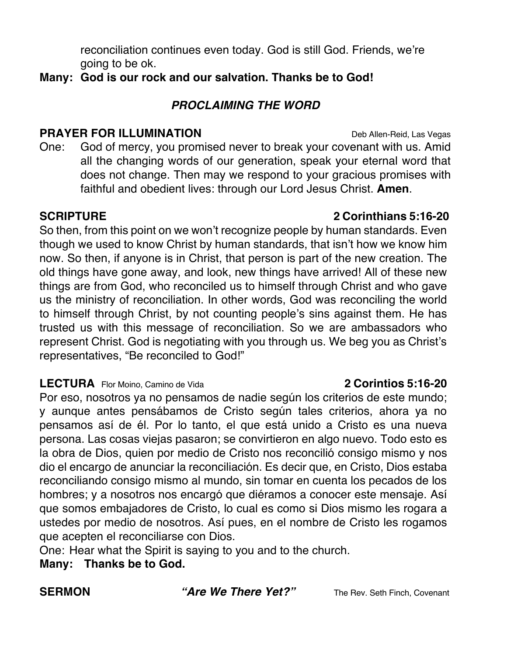*PROCLAIMING THE WORD*

reconciliation continues even today. God is still God. Friends, we're

**Many: God is our rock and our salvation. Thanks be to God!**

#### **PRAYER FOR ILLUMINATION** Deb Allen-Reid, Las Vegas

going to be ok.

One: God of mercy, you promised never to break your covenant with us. Amid all the changing words of our generation, speak your eternal word that does not change. Then may we respond to your gracious promises with faithful and obedient lives: through our Lord Jesus Christ. **Amen**.

So then, from this point on we won't recognize people by human standards. Even though we used to know Christ by human standards, that isn't how we know him now. So then, if anyone is in Christ, that person is part of the new creation. The old things have gone away, and look, new things have arrived! All of these new things are from God, who reconciled us to himself through Christ and who gave us the ministry of reconciliation. In other words, God was reconciling the world to himself through Christ, by not counting people's sins against them. He has trusted us with this message of reconciliation. So we are ambassadors who represent Christ. God is negotiating with you through us. We beg you as Christ's representatives, "Be reconciled to God!"

#### **LECTURA** Flor Moino, Camino de Vida **2 Corintios 5:16-20**

Por eso, nosotros ya no pensamos de nadie según los criterios de este mundo; y aunque antes pensábamos de Cristo según tales criterios, ahora ya no pensamos así de él. Por lo tanto, el que está unido a Cristo es una nueva persona. Las cosas viejas pasaron; se convirtieron en algo nuevo. Todo esto es la obra de Dios, quien por medio de Cristo nos reconcilió consigo mismo y nos dio el encargo de anunciar la reconciliación. Es decir que, en Cristo, Dios estaba reconciliando consigo mismo al mundo, sin tomar en cuenta los pecados de los hombres; y a nosotros nos encargó que diéramos a conocer este mensaje. Así que somos embajadores de Cristo, lo cual es como si Dios mismo les rogara a ustedes por medio de nosotros. Así pues, en el nombre de Cristo les rogamos que acepten el reconciliarse con Dios.

One: Hear what the Spirit is saying to you and to the church.

**Many: Thanks be to God.**

**SERMON** *"Are We There Yet?"* The Rev. Seth Finch, Covenant

## **SCRIPTURE 2 Corinthians 5:16-20**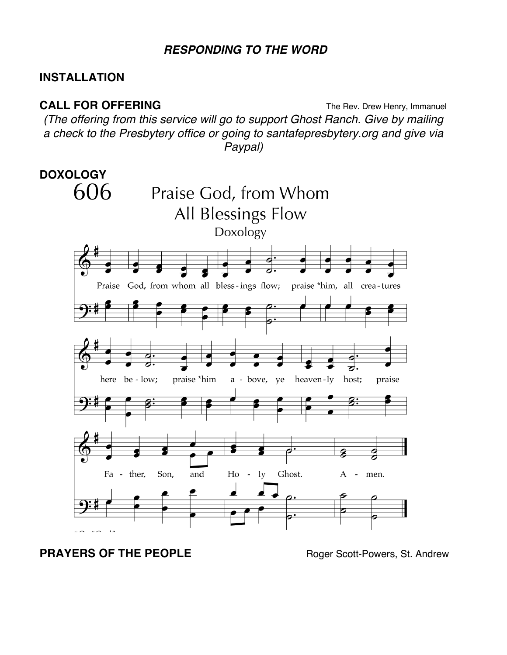#### *RESPONDING TO THE WORD*

### **INSTALLATION**

**CALL FOR OFFERING** The Rev. Drew Henry, Immanuel *(The offering from this service will go to support Ghost Ranch. Give by mailing a check to the Presbytery office or going to santafepresbytery.org and give via Paypal)*



## **PRAYERS OF THE PEOPLE Roger Scott-Powers, St. Andrew**